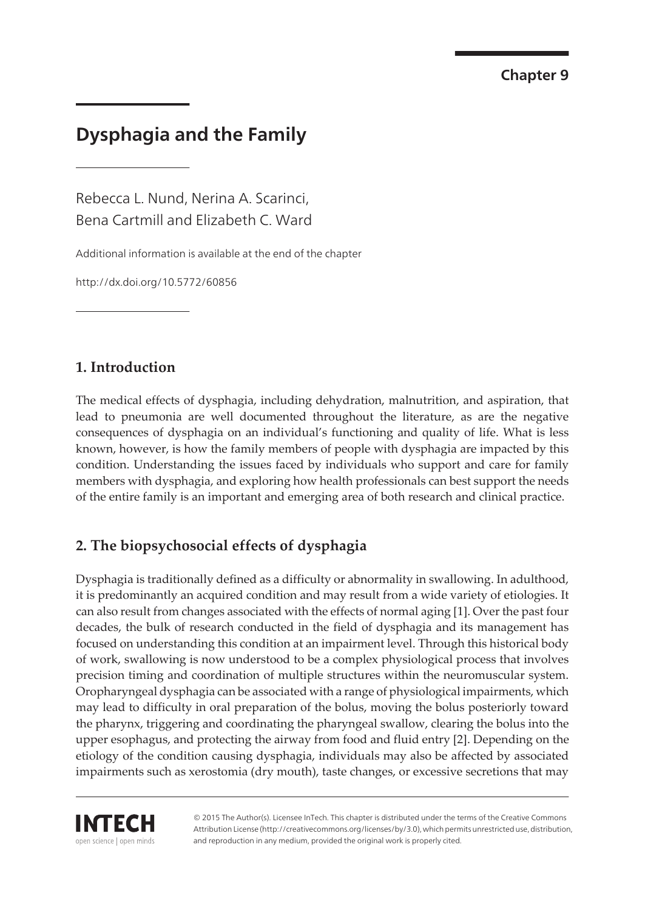**Chapter 9**

# **Dysphagia and the Family**

Rebecca L. Nund, Nerina A. Scarinci, Bena Cartmill and Elizabeth C. Ward

[Additional information is available at the end of the chapter](#page-11-0)

http://dx.doi.org/10.5772/60856

# **1. Introduction**

The medical effects of dysphagia, including dehydration, malnutrition, and aspiration, that lead to pneumonia are well documented throughout the literature, as are the negative consequences of dysphagia on an individual's functioning and quality of life. What is less known, however, is how the family members of people with dysphagia are impacted by this condition. Understanding the issues faced by individuals who support and care for family members with dysphagia, and exploring how health professionals can best support the needs of the entire family is an important and emerging area of both research and clinical practice.

# **2. The biopsychosocial effects of dysphagia**

Dysphagia is traditionally defined as a difficulty or abnormality in swallowing. In adulthood, it is predominantly an acquired condition and may result from a wide variety of etiologies. It can also result from changes associated with the effects of normal aging [[1](#page-11-0)]. Over the past four decades, the bulk of research conducted in the field of dysphagia and its management has focused on understanding this condition at an impairment level. Through this historical body of work, swallowing is now understood to be a complex physiological process that involves precision timing and coordination of multiple structures within the neuromuscular system. Oropharyngeal dysphagia can be associated with a range of physiological impairments, which may lead to difficulty in oral preparation of the bolus, moving the bolus posteriorly toward the pharynx, triggering and coordinating the pharyngeal swallow, clearing the bolus into the upper esophagus, and protecting the airway from food and fluid entry [[2](#page-11-0)]. Depending on the etiology of the condition causing dysphagia, individuals may also be affected by associated impairments such as xerostomia (dry mouth), taste changes, or excessive secretions that may



© 2015 The Author(s). Licensee InTech. This chapter is distributed under the terms of the Creative Commons Attribution License (http://creativecommons.org/licenses/by/3.0), which permits unrestricted use, distribution, and reproduction in any medium, provided the original work is properly cited.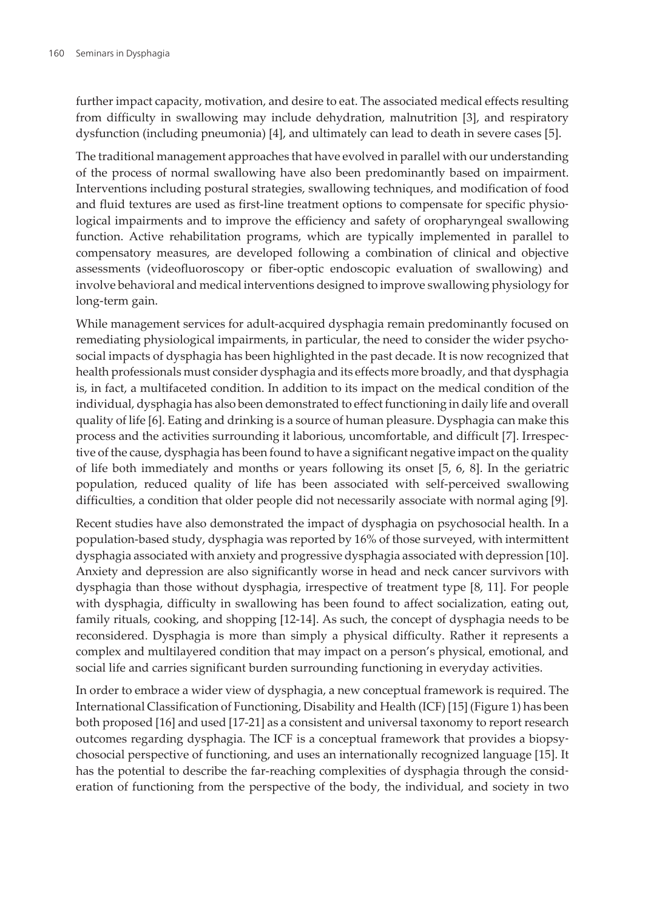further impact capacity, motivation, and desire to eat. The associated medical effects resulting from difficulty in swallowing may include dehydration, malnutrition [[3](#page-11-0)], and respiratory dysfunction (including pneumonia) [[4](#page-11-0)], and ultimately can lead to death in severe cases [\[5\]](#page-11-0).

The traditional management approaches that have evolved in parallel with our understanding of the process of normal swallowing have also been predominantly based on impairment. Interventions including postural strategies, swallowing techniques, and modification of food and fluid textures are used as first-line treatment options to compensate for specific physiological impairments and to improve the efficiency and safety of oropharyngeal swallowing function. Active rehabilitation programs, which are typically implemented in parallel to compensatory measures, are developed following a combination of clinical and objective assessments (videofluoroscopy or fiber-optic endoscopic evaluation of swallowing) and involve behavioral and medical interventions designed to improve swallowing physiology for long-term gain.

While management services for adult-acquired dysphagia remain predominantly focused on remediating physiological impairments, in particular, the need to consider the wider psychosocial impacts of dysphagia has been highlighted in the past decade. It is now recognized that health professionals must consider dysphagia and its effects more broadly, and that dysphagia is, in fact, a multifaceted condition. In addition to its impact on the medical condition of the individual, dysphagia has also been demonstrated to effect functioning in daily life and overall quality of life [[6](#page-11-0)]. Eating and drinking is a source of human pleasure. Dysphagia can make this process and the activities surrounding it laborious, uncomfortable, and difficult [\[7\]](#page-12-0). Irrespec‐ tive of the cause, dysphagia has been found to have a significant negative impact on the quality of life both immediately and months or years following its onset [[5](#page-11-0), [6](#page-11-0), [8\]](#page-12-0). In the geriatric population, reduced quality of life has been associated with self-perceived swallowing difficulties, a condition that older people did not necessarily associate with normal aging [[9](#page-12-0)].

Recent studies have also demonstrated the impact of dysphagia on psychosocial health. In a population-based study, dysphagia was reported by 16% of those surveyed, with intermittent dysphagia associated with anxiety and progressive dysphagia associated with depression [[10\]](#page-12-0). Anxiety and depression are also significantly worse in head and neck cancer survivors with dysphagia than those without dysphagia, irrespective of treatment type [\[8,](#page-12-0) [11](#page-12-0)]. For people with dysphagia, difficulty in swallowing has been found to affect socialization, eating out, family rituals, cooking, and shopping [\[12-14](#page-12-0)]. As such, the concept of dysphagia needs to be reconsidered. Dysphagia is more than simply a physical difficulty. Rather it represents a complex and multilayered condition that may impact on a person's physical, emotional, and social life and carries significant burden surrounding functioning in everyday activities.

In order to embrace a wider view of dysphagia, a new conceptual framework is required. The International Classification of Functioning, Disability and Health (ICF) [[15\]](#page-12-0) [\(Figure 1\)](#page-2-0) has been both proposed [\[16](#page-12-0)] and used [[17-](#page-12-0)[21\]](#page-13-0) as a consistent and universal taxonomy to report research outcomes regarding dysphagia. The ICF is a conceptual framework that provides a biopsy‐ chosocial perspective of functioning, and uses an internationally recognized language [[15\]](#page-12-0). It has the potential to describe the far-reaching complexities of dysphagia through the consideration of functioning from the perspective of the body, the individual, and society in two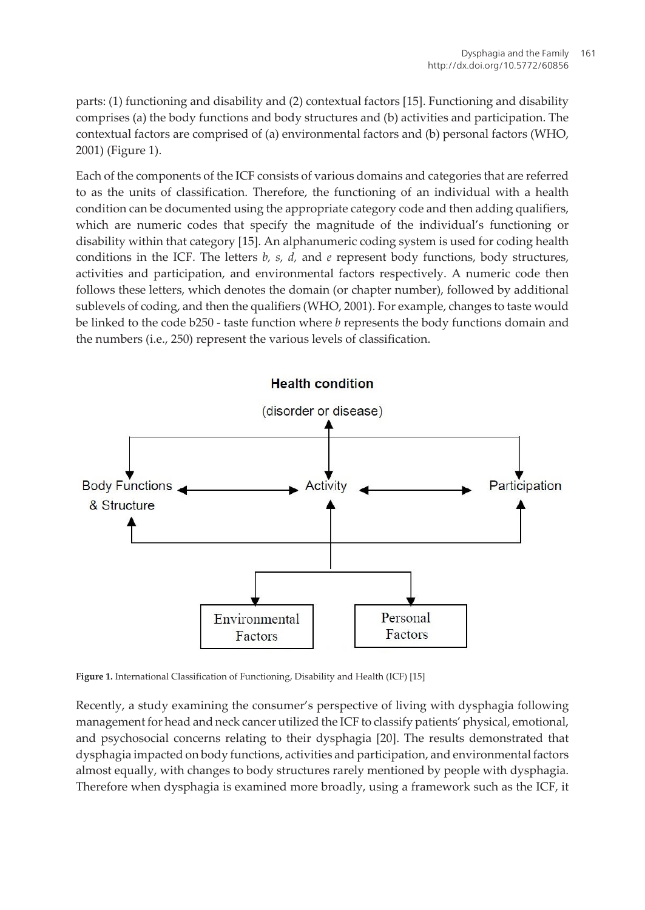<span id="page-2-0"></span>parts: (1) functioning and disability and (2) contextual factors [[15](#page-12-0)]. Functioning and disability comprises (a) the body functions and body structures and (b) activities and participation. The contextual factors are comprised of (a) environmental factors and (b) personal factors (WHO, 2001) (Figure 1).

Each of the components of the ICF consists of various domains and categories that are referred to as the units of classification. Therefore, the functioning of an individual with a health condition can be documented using the appropriate category code and then adding qualifiers, which are numeric codes that specify the magnitude of the individual's functioning or disability within that category [[15\]](#page-12-0). An alphanumeric coding system is used for coding health conditions in the ICF. The letters *b, s, d,* and *e* represent body functions, body structures, activities and participation, and environmental factors respectively. A numeric code then follows these letters, which denotes the domain (or chapter number), followed by additional sublevels of coding, and then the qualifiers (WHO, 2001). For example, changes to taste would be linked to the code b250 - taste function where *b* represents the body functions domain and the numbers (i.e., 250) represent the various levels of classification.



**Figure 1.** International Classification of Functioning, Disability and Health (ICF) [[15\]](#page-12-0)

Recently, a study examining the consumer's perspective of living with dysphagia following management for head and neck cancer utilized the ICF to classify patients' physical, emotional, and psychosocial concerns relating to their dysphagia [\[20](#page-12-0)]. The results demonstrated that dysphagia impacted on body functions, activities and participation, and environmental factors almost equally, with changes to body structures rarely mentioned by people with dysphagia. Therefore when dysphagia is examined more broadly, using a framework such as the ICF, it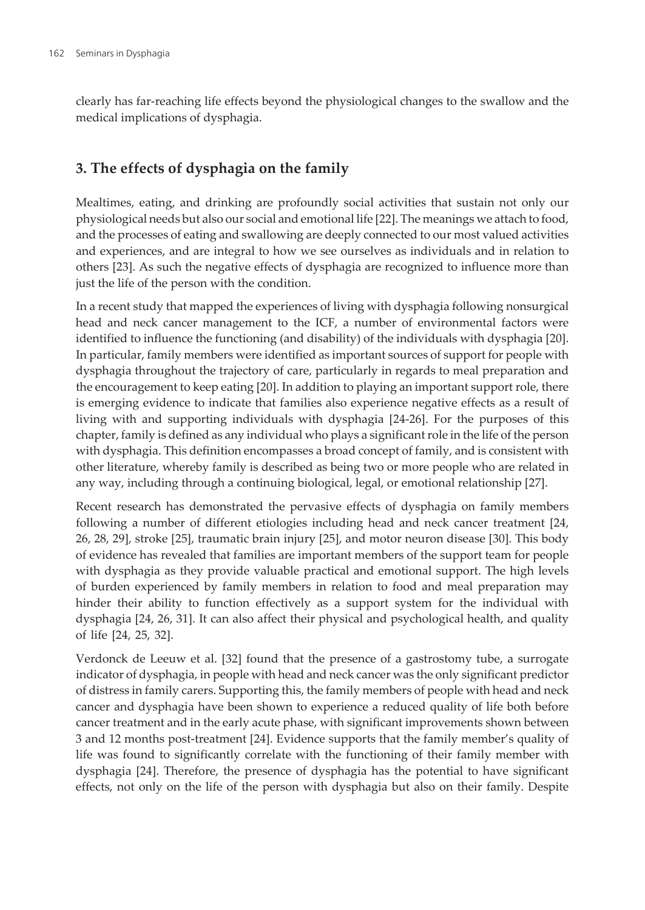clearly has far-reaching life effects beyond the physiological changes to the swallow and the medical implications of dysphagia.

# **3. The effects of dysphagia on the family**

Mealtimes, eating, and drinking are profoundly social activities that sustain not only our physiological needs but also our social and emotional life [[22\]](#page-13-0). The meanings we attach to food, and the processes of eating and swallowing are deeply connected to our most valued activities and experiences, and are integral to how we see ourselves as individuals and in relation to others [\[23](#page-13-0)]. As such the negative effects of dysphagia are recognized to influence more than just the life of the person with the condition.

In a recent study that mapped the experiences of living with dysphagia following nonsurgical head and neck cancer management to the ICF, a number of environmental factors were identified to influence the functioning (and disability) of the individuals with dysphagia [[20\]](#page-12-0). In particular, family members were identified as important sources of support for people with dysphagia throughout the trajectory of care, particularly in regards to meal preparation and the encouragement to keep eating [[20\]](#page-12-0). In addition to playing an important support role, there is emerging evidence to indicate that families also experience negative effects as a result of living with and supporting individuals with dysphagia [[24-26\]](#page-13-0). For the purposes of this chapter, family is defined as any individual who plays a significant role in the life of the person with dysphagia. This definition encompasses a broad concept of family, and is consistent with other literature, whereby family is described as being two or more people who are related in any way, including through a continuing biological, legal, or emotional relationship [\[27](#page-13-0)].

Recent research has demonstrated the pervasive effects of dysphagia on family members following a number of different etiologies including head and neck cancer treatment [[24,](#page-13-0) [26,](#page-13-0) [28](#page-13-0), [29](#page-13-0)], stroke [\[25](#page-13-0)], traumatic brain injury [[25\]](#page-13-0), and motor neuron disease [\[30](#page-13-0)]. This body of evidence has revealed that families are important members of the support team for people with dysphagia as they provide valuable practical and emotional support. The high levels of burden experienced by family members in relation to food and meal preparation may hinder their ability to function effectively as a support system for the individual with dysphagia [[24,](#page-13-0) [26,](#page-13-0) [31\]](#page-13-0). It can also affect their physical and psychological health, and quality of life [[24,](#page-13-0) [25](#page-13-0), [32\]](#page-13-0).

Verdonck de Leeuw et al. [[32\]](#page-13-0) found that the presence of a gastrostomy tube, a surrogate indicator of dysphagia, in people with head and neck cancer was the only significant predictor of distress in family carers. Supporting this, the family members of people with head and neck cancer and dysphagia have been shown to experience a reduced quality of life both before cancer treatment and in the early acute phase, with significant improvements shown between 3 and 12 months post-treatment [[24\]](#page-13-0). Evidence supports that the family member's quality of life was found to significantly correlate with the functioning of their family member with dysphagia [[24\]](#page-13-0). Therefore, the presence of dysphagia has the potential to have significant effects, not only on the life of the person with dysphagia but also on their family. Despite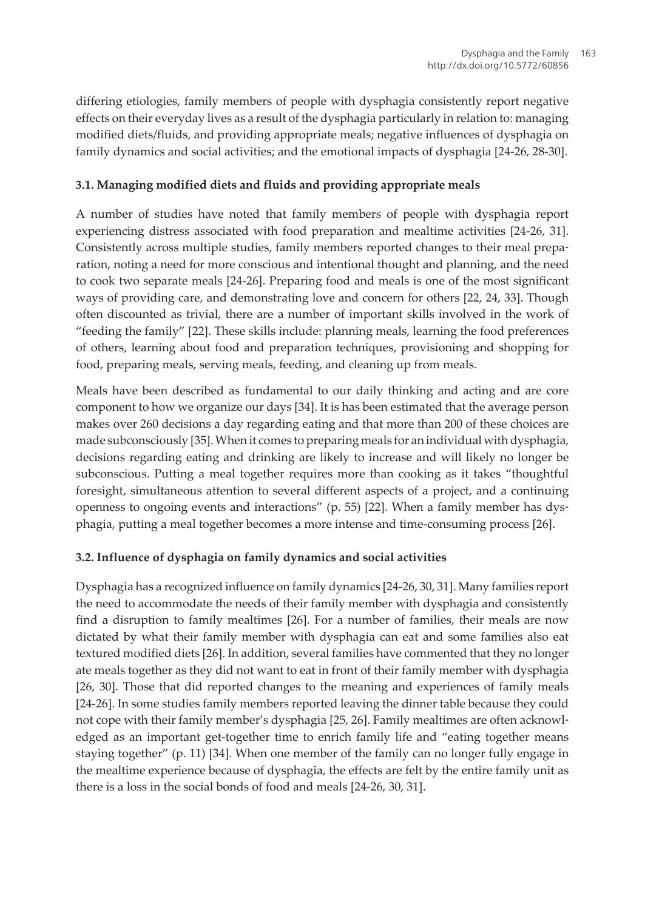differing etiologies, family members of people with dysphagia consistently report negative effects on their everyday lives as a result of the dysphagia particularly in relation to: managing modified diets/fluids, and providing appropriate meals; negative influences of dysphagia on family dynamics and social activities; and the emotional impacts of dysphagia [[24-26, 28-30](#page-13-0)].

#### **3.1. Managing modified diets and fluids and providing appropriate meals**

A number of studies have noted that family members of people with dysphagia report experiencing distress associated with food preparation and mealtime activities [\[24-26](#page-13-0), [31\]](#page-13-0). Consistently across multiple studies, family members reported changes to their meal prepa‐ ration, noting a need for more conscious and intentional thought and planning, and the need to cook two separate meals [\[24-26](#page-13-0)]. Preparing food and meals is one of the most significant ways of providing care, and demonstrating love and concern for others [\[22](#page-13-0), [24](#page-13-0), [33\]](#page-13-0). Though often discounted as trivial, there are a number of important skills involved in the work of "feeding the family" [[22\]](#page-13-0). These skills include: planning meals, learning the food preferences of others, learning about food and preparation techniques, provisioning and shopping for food, preparing meals, serving meals, feeding, and cleaning up from meals.

Meals have been described as fundamental to our daily thinking and acting and are core component to how we organize our days [\[34](#page-13-0)]. It is has been estimated that the average person makes over 260 decisions a day regarding eating and that more than 200 of these choices are made subconsciously [\[35](#page-14-0)]. When it comes to preparing meals for an individual with dysphagia, decisions regarding eating and drinking are likely to increase and will likely no longer be subconscious. Putting a meal together requires more than cooking as it takes "thoughtful foresight, simultaneous attention to several different aspects of a project, and a continuing openness to ongoing events and interactions" (p. 55) [[22\]](#page-13-0). When a family member has dys‐ phagia, putting a meal together becomes a more intense and time-consuming process [[26\]](#page-13-0).

#### **3.2. Influence of dysphagia on family dynamics and social activities**

Dysphagia has a recognized influence on family dynamics [[24-26, 30, 31\]](#page-13-0). Many families report the need to accommodate the needs of their family member with dysphagia and consistently find a disruption to family mealtimes [\[26](#page-13-0)]. For a number of families, their meals are now dictated by what their family member with dysphagia can eat and some families also eat textured modified diets [\[26](#page-13-0)]. In addition, several families have commented that they no longer ate meals together as they did not want to eat in front of their family member with dysphagia [[26,](#page-13-0) [30](#page-13-0)]. Those that did reported changes to the meaning and experiences of family meals [[24-26\]](#page-13-0). In some studies family members reported leaving the dinner table because they could not cope with their family member's dysphagia [\[25](#page-13-0), [26\]](#page-13-0). Family mealtimes are often acknowledged as an important get-together time to enrich family life and "eating together means staying together" (p. 11) [\[34](#page-13-0)]. When one member of the family can no longer fully engage in the mealtime experience because of dysphagia, the effects are felt by the entire family unit as there is a loss in the social bonds of food and meals [\[24-26](#page-13-0), [30, 31](#page-13-0)].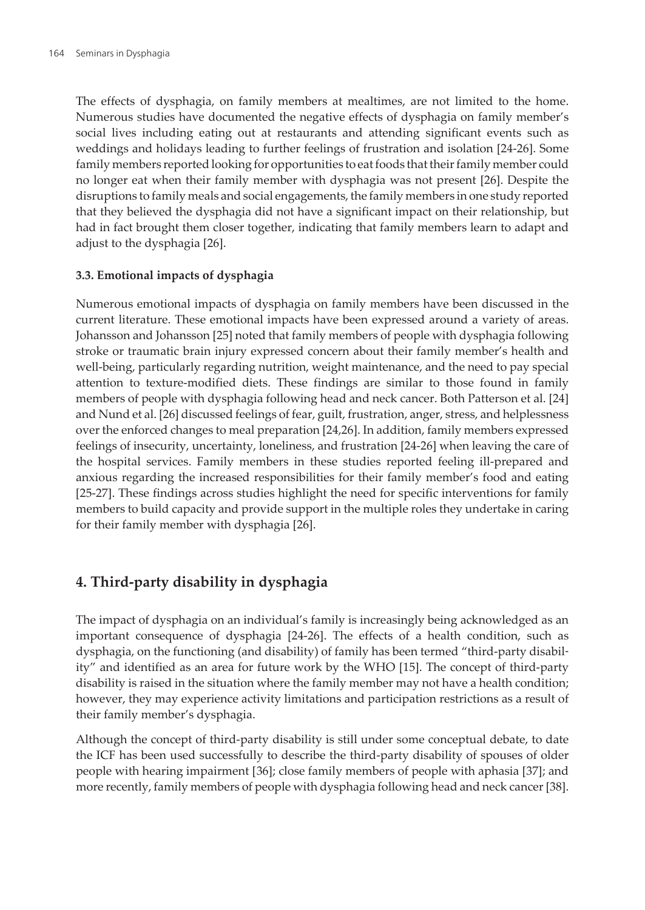The effects of dysphagia, on family members at mealtimes, are not limited to the home. Numerous studies have documented the negative effects of dysphagia on family member's social lives including eating out at restaurants and attending significant events such as weddings and holidays leading to further feelings of frustration and isolation [\[24-26](#page-13-0)]. Some family members reported looking for opportunities to eat foods that their family member could no longer eat when their family member with dysphagia was not present [\[26\]](#page-13-0). Despite the disruptions to family meals and social engagements, the family members in one study reported that they believed the dysphagia did not have a significant impact on their relationship, but had in fact brought them closer together, indicating that family members learn to adapt and adjust to the dysphagia [[26\]](#page-13-0).

#### **3.3. Emotional impacts of dysphagia**

Numerous emotional impacts of dysphagia on family members have been discussed in the current literature. These emotional impacts have been expressed around a variety of areas. Johansson and Johansson [[25\]](#page-13-0) noted that family members of people with dysphagia following stroke or traumatic brain injury expressed concern about their family member's health and well-being, particularly regarding nutrition, weight maintenance, and the need to pay special attention to texture-modified diets. These findings are similar to those found in family members of people with dysphagia following head and neck cancer. Both Patterson et al. [\[24](#page-13-0)] and Nund et al. [[26\]](#page-13-0) discussed feelings of fear, guilt, frustration, anger, stress, and helplessness over the enforced changes to meal preparation [[24,26](#page-13-0)]. In addition, family members expressed feelings of insecurity, uncertainty, loneliness, and frustration [\[24-26](#page-13-0)] when leaving the care of the hospital services. Family members in these studies reported feeling ill-prepared and anxious regarding the increased responsibilities for their family member's food and eating [[25-27\]](#page-13-0). These findings across studies highlight the need for specific interventions for family members to build capacity and provide support in the multiple roles they undertake in caring for their family member with dysphagia [[26\]](#page-13-0).

# **4. Third-party disability in dysphagia**

The impact of dysphagia on an individual's family is increasingly being acknowledged as an important consequence of dysphagia [[24-26\]](#page-13-0). The effects of a health condition, such as dysphagia, on the functioning (and disability) of family has been termed "third-party disabil‐ ity" and identified as an area for future work by the WHO [\[15](#page-12-0)]. The concept of third-party disability is raised in the situation where the family member may not have a health condition; however, they may experience activity limitations and participation restrictions as a result of their family member's dysphagia.

Although the concept of third-party disability is still under some conceptual debate, to date the ICF has been used successfully to describe the third-party disability of spouses of older people with hearing impairment [[36\]](#page-14-0); close family members of people with aphasia [\[37](#page-14-0)]; and more recently, family members of people with dysphagia following head and neck cancer [[38\]](#page-14-0).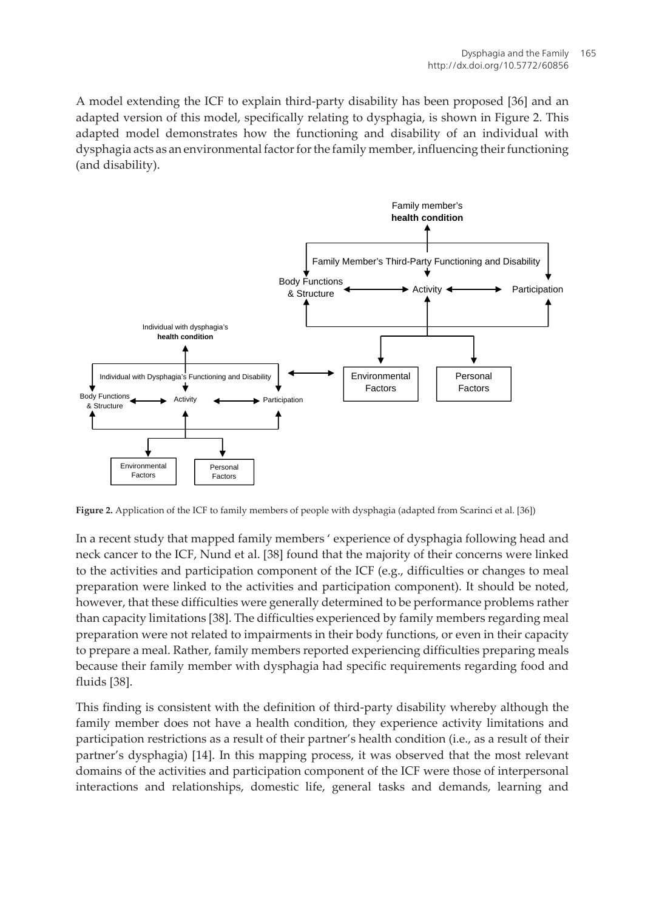A model extending the ICF to explain third-party disability has been proposed [\[36](#page-14-0)] and an adapted version of this model, specifically relating to dysphagia, is shown in Figure 2. This adapted model demonstrates how the functioning and disability of an individual with dysphagia acts as an environmental factor for the family member, influencing their functioning (and disability).



**Figure 2.** Application of the ICF to family members of people with dysphagia (adapted from Scarinci et al. [[36\]](#page-14-0))

In a recent study that mapped family members ' experience of dysphagia following head and In a recent study that mapped family members  $\prime$  experience of dysphagia following head and neck cancer to the ICF, Nund et al. [[38\]](#page-14-0) found that the majority of their concerns were linked to the activities and participation component of the ICF (e.g., difficulties or changes to meal preparation were linked to the activities and participation component). It should be noted, regarding measures of the preparation were not related to the nontremance probhowever, that these difficulties were generally determined to be performance problems rather than capacity limitations [[38\]](#page-14-0). The difficulties experienced by family members regarding meal preparation were not related to impairments in their body functions, or even in their capacity to prepare a meal. Rather, family members reported experiencing difficulties preparing meals because their family member with dysphagia had specific requirements regarding food and fluids [[38\]](#page-14-0).

This finding is consistent with the definition of third-party disability whereby although the family member does not have a health condition, they experience activity limitations and participation restrictions as a result of their partner's health condition (i.e., as a result of their partner's dysphagia) [[14\]](#page-12-0). In this mapping process, it was observed that the most relevant domains of the activities and participation component of the ICF were those of interpersonal interactions and relationships, domestic life, general tasks and demands, learning and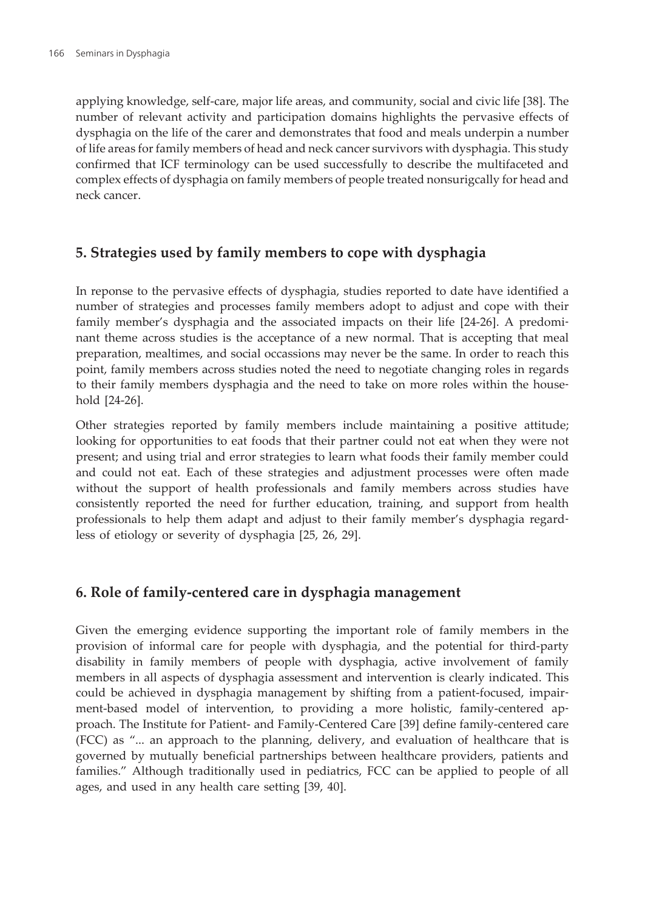applying knowledge, self-care, major life areas, and community, social and civic life [[38\]](#page-14-0). The number of relevant activity and participation domains highlights the pervasive effects of dysphagia on the life of the carer and demonstrates that food and meals underpin a number of life areas for family members of head and neck cancer survivors with dysphagia. This study confirmed that ICF terminology can be used successfully to describe the multifaceted and complex effects of dysphagia on family members of people treated nonsurigcally for head and neck cancer.

# **5. Strategies used by family members to cope with dysphagia**

In reponse to the pervasive effects of dysphagia, studies reported to date have identified a number of strategies and processes family members adopt to adjust and cope with their family member's dysphagia and the associated impacts on their life [[24-26\]](#page-13-0). A predominant theme across studies is the acceptance of a new normal. That is accepting that meal preparation, mealtimes, and social occassions may never be the same. In order to reach this point, family members across studies noted the need to negotiate changing roles in regards to their family members dysphagia and the need to take on more roles within the household [\[24-26](#page-13-0)].

Other strategies reported by family members include maintaining a positive attitude; looking for opportunities to eat foods that their partner could not eat when they were not present; and using trial and error strategies to learn what foods their family member could and could not eat. Each of these strategies and adjustment processes were often made without the support of health professionals and family members across studies have consistently reported the need for further education, training, and support from health professionals to help them adapt and adjust to their family member's dysphagia regard‐ less of etiology or severity of dysphagia [[25,](#page-13-0) [26](#page-13-0), [29\]](#page-13-0).

### **6. Role of family-centered care in dysphagia management**

Given the emerging evidence supporting the important role of family members in the provision of informal care for people with dysphagia, and the potential for third-party disability in family members of people with dysphagia, active involvement of family members in all aspects of dysphagia assessment and intervention is clearly indicated. This could be achieved in dysphagia management by shifting from a patient-focused, impair‐ ment-based model of intervention, to providing a more holistic, family-centered approach. The Institute for Patient- and Family-Centered Care [[39\]](#page-14-0) define family-centered care (FCC) as "... an approach to the planning, delivery, and evaluation of healthcare that is governed by mutually beneficial partnerships between healthcare providers, patients and families." Although traditionally used in pediatrics, FCC can be applied to people of all ages, and used in any health care setting [\[39](#page-14-0), [40\]](#page-14-0).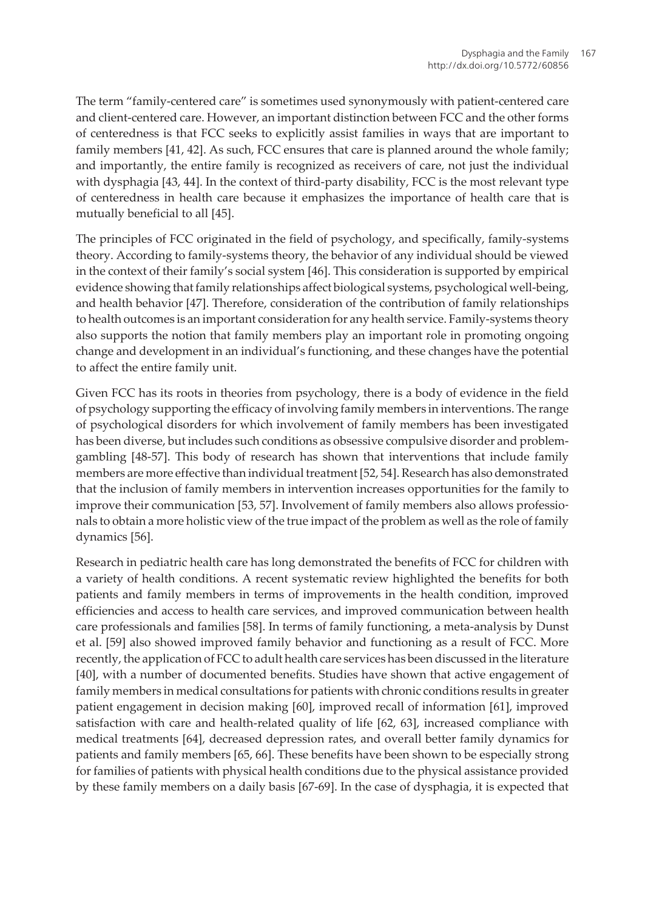The term "family-centered care" is sometimes used synonymously with patient-centered care and client-centered care. However, an important distinction between FCC and the other forms of centeredness is that FCC seeks to explicitly assist families in ways that are important to family members [[41, 42\]](#page-14-0). As such, FCC ensures that care is planned around the whole family; and importantly, the entire family is recognized as receivers of care, not just the individual with dysphagia [\[43, 44](#page-14-0)]. In the context of third-party disability, FCC is the most relevant type of centeredness in health care because it emphasizes the importance of health care that is mutually beneficial to all [[45\]](#page-14-0).

The principles of FCC originated in the field of psychology, and specifically, family-systems theory. According to family-systems theory, the behavior of any individual should be viewed in the context of their family's social system [[46\]](#page-14-0). This consideration is supported by empirical evidence showing that family relationships affect biological systems, psychological well-being, and health behavior [\[47](#page-14-0)]. Therefore, consideration of the contribution of family relationships to health outcomes is an important consideration for any health service. Family-systems theory also supports the notion that family members play an important role in promoting ongoing change and development in an individual's functioning, and these changes have the potential to affect the entire family unit.

Given FCC has its roots in theories from psychology, there is a body of evidence in the field of psychology supporting the efficacy of involving family members in interventions. The range of psychological disorders for which involvement of family members has been investigated has been diverse, but includes such conditions as obsessive compulsive disorder and problemgambling [\[48](#page-14-0)[-57](#page-15-0)]. This body of research has shown that interventions that include family members are more effective than individual treatment [[52, 54](#page-15-0)]. Research has also demonstrated that the inclusion of family members in intervention increases opportunities for the family to improve their communication [[53, 57](#page-15-0)]. Involvement of family members also allows professionals to obtain a more holistic view of the true impact of the problem as well as the role of family dynamics [[56\]](#page-15-0).

Research in pediatric health care has long demonstrated the benefits of FCC for children with a variety of health conditions. A recent systematic review highlighted the benefits for both patients and family members in terms of improvements in the health condition, improved efficiencies and access to health care services, and improved communication between health care professionals and families [\[58](#page-15-0)]. In terms of family functioning, a meta-analysis by Dunst et al. [\[59](#page-15-0)] also showed improved family behavior and functioning as a result of FCC. More recently, the application of FCC to adult health care services has been discussed in the literature [[40\]](#page-14-0), with a number of documented benefits. Studies have shown that active engagement of family members in medical consultations for patients with chronic conditions results in greater patient engagement in decision making [\[60](#page-15-0)], improved recall of information [[61\]](#page-15-0), improved satisfaction with care and health-related quality of life [[62,](#page-15-0) [63](#page-15-0)], increased compliance with medical treatments [\[64](#page-15-0)], decreased depression rates, and overall better family dynamics for patients and family members [[65, 66](#page-16-0)]. These benefits have been shown to be especially strong for families of patients with physical health conditions due to the physical assistance provided by these family members on a daily basis [[67-69\]](#page-16-0). In the case of dysphagia, it is expected that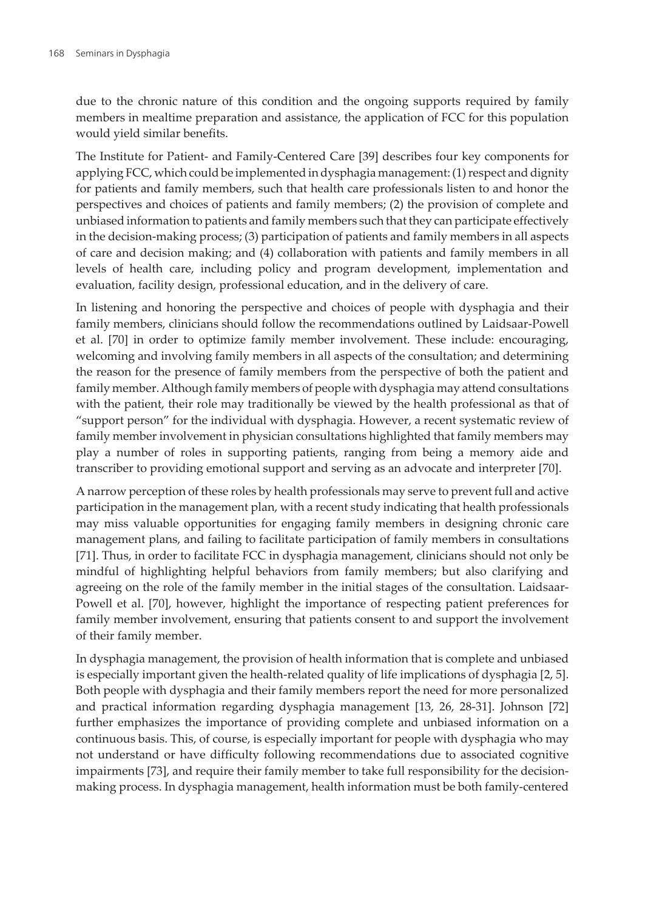due to the chronic nature of this condition and the ongoing supports required by family members in mealtime preparation and assistance, the application of FCC for this population would yield similar benefits.

The Institute for Patient- and Family-Centered Care [\[39](#page-14-0)] describes four key components for applying FCC, which could be implemented in dysphagia management: (1) respect and dignity for patients and family members, such that health care professionals listen to and honor the perspectives and choices of patients and family members; (2) the provision of complete and unbiased information to patients and family members such that they can participate effectively in the decision-making process; (3) participation of patients and family members in all aspects of care and decision making; and (4) collaboration with patients and family members in all levels of health care, including policy and program development, implementation and evaluation, facility design, professional education, and in the delivery of care.

In listening and honoring the perspective and choices of people with dysphagia and their family members, clinicians should follow the recommendations outlined by Laidsaar-Powell et al. [[70\]](#page-16-0) in order to optimize family member involvement. These include: encouraging, welcoming and involving family members in all aspects of the consultation; and determining the reason for the presence of family members from the perspective of both the patient and family member. Although family members of people with dysphagia may attend consultations with the patient, their role may traditionally be viewed by the health professional as that of "support person" for the individual with dysphagia. However, a recent systematic review of family member involvement in physician consultations highlighted that family members may play a number of roles in supporting patients, ranging from being a memory aide and transcriber to providing emotional support and serving as an advocate and interpreter [[70\]](#page-16-0).

A narrow perception of these roles by health professionals may serve to prevent full and active participation in the management plan, with a recent study indicating that health professionals may miss valuable opportunities for engaging family members in designing chronic care management plans, and failing to facilitate participation of family members in consultations [[71\]](#page-16-0). Thus, in order to facilitate FCC in dysphagia management, clinicians should not only be mindful of highlighting helpful behaviors from family members; but also clarifying and agreeing on the role of the family member in the initial stages of the consultation. Laidsaar-Powell et al. [\[70](#page-16-0)], however, highlight the importance of respecting patient preferences for family member involvement, ensuring that patients consent to and support the involvement of their family member.

In dysphagia management, the provision of health information that is complete and unbiased is especially important given the health-related quality of life implications of dysphagia [[2](#page-11-0), [5\]](#page-11-0). Both people with dysphagia and their family members report the need for more personalized and practical information regarding dysphagia management [\[13](#page-12-0), [26](#page-13-0), [28-31\]](#page-13-0). Johnson [\[72](#page-16-0)] further emphasizes the importance of providing complete and unbiased information on a continuous basis. This, of course, is especially important for people with dysphagia who may not understand or have difficulty following recommendations due to associated cognitive impairments [[73\]](#page-16-0), and require their family member to take full responsibility for the decisionmaking process. In dysphagia management, health information must be both family-centered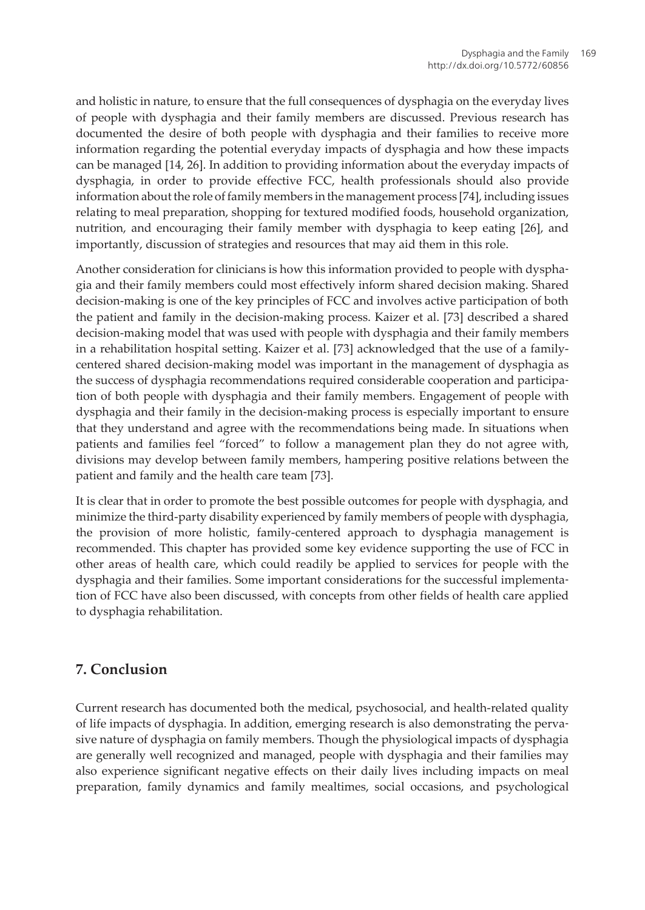and holistic in nature, to ensure that the full consequences of dysphagia on the everyday lives of people with dysphagia and their family members are discussed. Previous research has documented the desire of both people with dysphagia and their families to receive more information regarding the potential everyday impacts of dysphagia and how these impacts can be managed [\[14](#page-12-0), [26\]](#page-13-0). In addition to providing information about the everyday impacts of dysphagia, in order to provide effective FCC, health professionals should also provide information about the role of family members in the management process [\[74](#page-16-0)], including issues relating to meal preparation, shopping for textured modified foods, household organization, nutrition, and encouraging their family member with dysphagia to keep eating [\[26](#page-13-0)], and importantly, discussion of strategies and resources that may aid them in this role.

Another consideration for clinicians is how this information provided to people with dyspha‐ gia and their family members could most effectively inform shared decision making. Shared decision-making is one of the key principles of FCC and involves active participation of both the patient and family in the decision-making process. Kaizer et al. [\[73](#page-16-0)] described a shared decision-making model that was used with people with dysphagia and their family members in a rehabilitation hospital setting. Kaizer et al. [\[73](#page-16-0)] acknowledged that the use of a familycentered shared decision-making model was important in the management of dysphagia as the success of dysphagia recommendations required considerable cooperation and participa‐ tion of both people with dysphagia and their family members. Engagement of people with dysphagia and their family in the decision-making process is especially important to ensure that they understand and agree with the recommendations being made. In situations when patients and families feel "forced" to follow a management plan they do not agree with, divisions may develop between family members, hampering positive relations between the patient and family and the health care team [\[73](#page-16-0)].

It is clear that in order to promote the best possible outcomes for people with dysphagia, and minimize the third-party disability experienced by family members of people with dysphagia, the provision of more holistic, family-centered approach to dysphagia management is recommended. This chapter has provided some key evidence supporting the use of FCC in other areas of health care, which could readily be applied to services for people with the dysphagia and their families. Some important considerations for the successful implementa‐ tion of FCC have also been discussed, with concepts from other fields of health care applied to dysphagia rehabilitation.

### **7. Conclusion**

Current research has documented both the medical, psychosocial, and health-related quality of life impacts of dysphagia. In addition, emerging research is also demonstrating the perva‐ sive nature of dysphagia on family members. Though the physiological impacts of dysphagia are generally well recognized and managed, people with dysphagia and their families may also experience significant negative effects on their daily lives including impacts on meal preparation, family dynamics and family mealtimes, social occasions, and psychological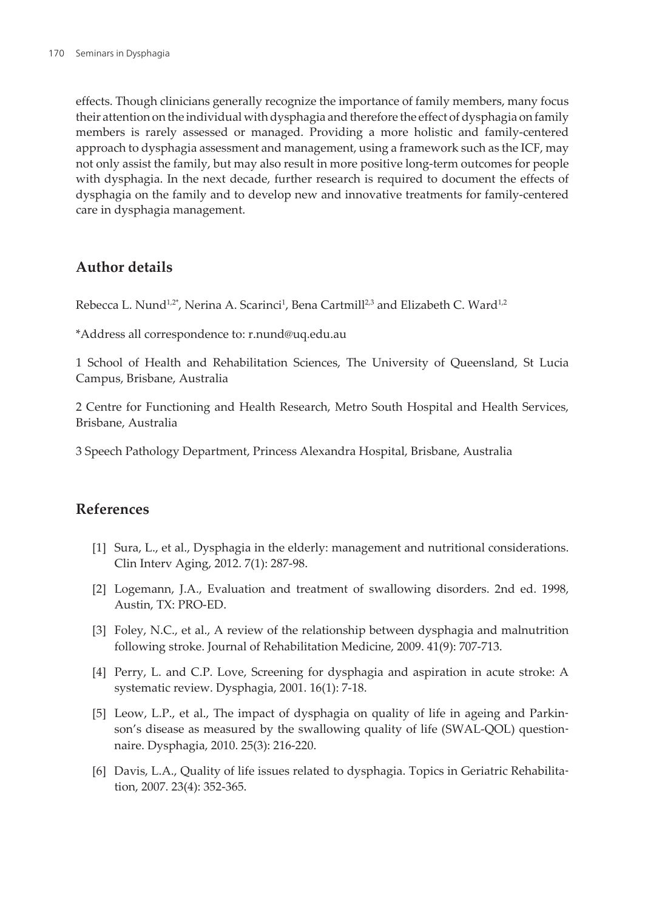<span id="page-11-0"></span>effects. Though clinicians generally recognize the importance of family members, many focus their attention on the individual with dysphagia and therefore the effect of dysphagia on family members is rarely assessed or managed. Providing a more holistic and family-centered approach to dysphagia assessment and management, using a framework such as the ICF, may not only assist the family, but may also result in more positive long-term outcomes for people with dysphagia. In the next decade, further research is required to document the effects of dysphagia on the family and to develop new and innovative treatments for family-centered care in dysphagia management.

### **Author details**

Rebecca L. Nund $^{1,2^\ast}$ , Nerina A. Scarinci<sup>1</sup>, Bena Cartmill<sup>2,3</sup> and Elizabeth C. Ward $^{1,2}$ 

\*Address all correspondence to: r.nund@uq.edu.au

1 School of Health and Rehabilitation Sciences, The University of Queensland, St Lucia Campus, Brisbane, Australia

2 Centre for Functioning and Health Research, Metro South Hospital and Health Services, Brisbane, Australia

3 Speech Pathology Department, Princess Alexandra Hospital, Brisbane, Australia

### **References**

- [1] Sura, L., et al., Dysphagia in the elderly: management and nutritional considerations. Clin Interv Aging, 2012. 7(1): 287-98.
- [2] Logemann, J.A., Evaluation and treatment of swallowing disorders. 2nd ed. 1998, Austin, TX: PRO-ED.
- [3] Foley, N.C., et al., A review of the relationship between dysphagia and malnutrition following stroke. Journal of Rehabilitation Medicine, 2009. 41(9): 707-713.
- [4] Perry, L. and C.P. Love, Screening for dysphagia and aspiration in acute stroke: A systematic review. Dysphagia, 2001. 16(1): 7-18.
- [5] Leow, L.P., et al., The impact of dysphagia on quality of life in ageing and Parkinson's disease as measured by the swallowing quality of life (SWAL-QOL) question‐ naire. Dysphagia, 2010. 25(3): 216-220.
- [6] Davis, L.A., Quality of life issues related to dysphagia. Topics in Geriatric Rehabilitation, 2007. 23(4): 352-365.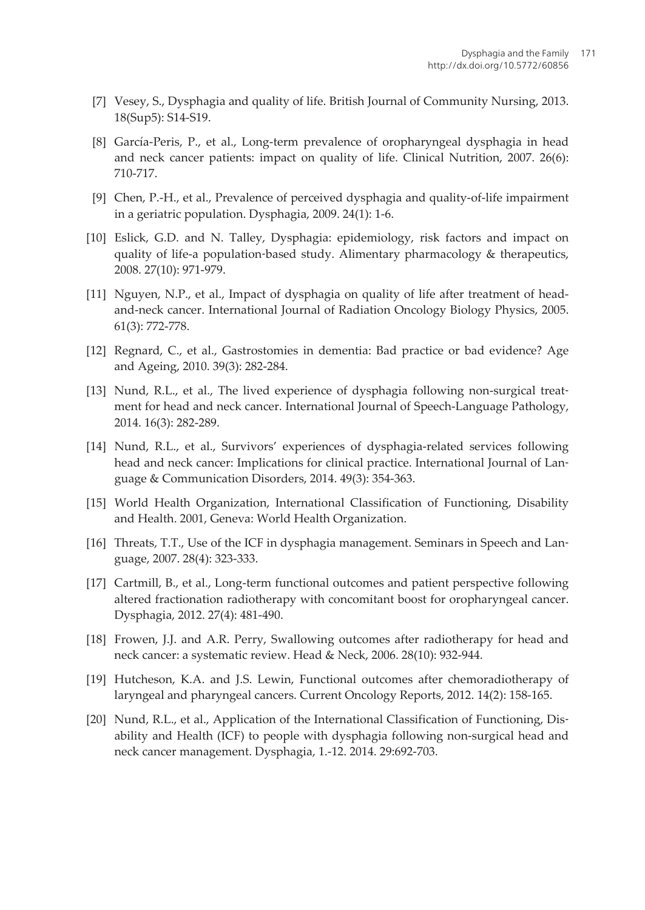- <span id="page-12-0"></span>[7] Vesey, S., Dysphagia and quality of life. British Journal of Community Nursing, 2013. 18(Sup5): S14-S19.
- [8] García-Peris, P., et al., Long-term prevalence of oropharyngeal dysphagia in head and neck cancer patients: impact on quality of life. Clinical Nutrition, 2007. 26(6): 710-717.
- [9] Chen, P.-H., et al., Prevalence of perceived dysphagia and quality-of-life impairment in a geriatric population. Dysphagia, 2009. 24(1): 1-6.
- [10] Eslick, G.D. and N. Talley, Dysphagia: epidemiology, risk factors and impact on quality of life-a population‐based study. Alimentary pharmacology & therapeutics, 2008. 27(10): 971-979.
- [11] Nguyen, N.P., et al., Impact of dysphagia on quality of life after treatment of headand-neck cancer. International Journal of Radiation Oncology Biology Physics, 2005. 61(3): 772-778.
- [12] Regnard, C., et al., Gastrostomies in dementia: Bad practice or bad evidence? Age and Ageing, 2010. 39(3): 282-284.
- [13] Nund, R.L., et al., The lived experience of dysphagia following non-surgical treatment for head and neck cancer. International Journal of Speech-Language Pathology, 2014. 16(3): 282-289.
- [14] Nund, R.L., et al., Survivors' experiences of dysphagia-related services following head and neck cancer: Implications for clinical practice. International Journal of Language & Communication Disorders, 2014. 49(3): 354-363.
- [15] World Health Organization, International Classification of Functioning, Disability and Health. 2001, Geneva: World Health Organization.
- [16] Threats, T.T., Use of the ICF in dysphagia management. Seminars in Speech and Lan‐ guage, 2007. 28(4): 323-333.
- [17] Cartmill, B., et al., Long-term functional outcomes and patient perspective following altered fractionation radiotherapy with concomitant boost for oropharyngeal cancer. Dysphagia, 2012. 27(4): 481-490.
- [18] Frowen, J.J. and A.R. Perry, Swallowing outcomes after radiotherapy for head and neck cancer: a systematic review. Head & Neck, 2006. 28(10): 932-944.
- [19] Hutcheson, K.A. and J.S. Lewin, Functional outcomes after chemoradiotherapy of laryngeal and pharyngeal cancers. Current Oncology Reports, 2012. 14(2): 158-165.
- [20] Nund, R.L., et al., Application of the International Classification of Functioning, Disability and Health (ICF) to people with dysphagia following non-surgical head and neck cancer management. Dysphagia, 1.-12. 2014. 29:692-703.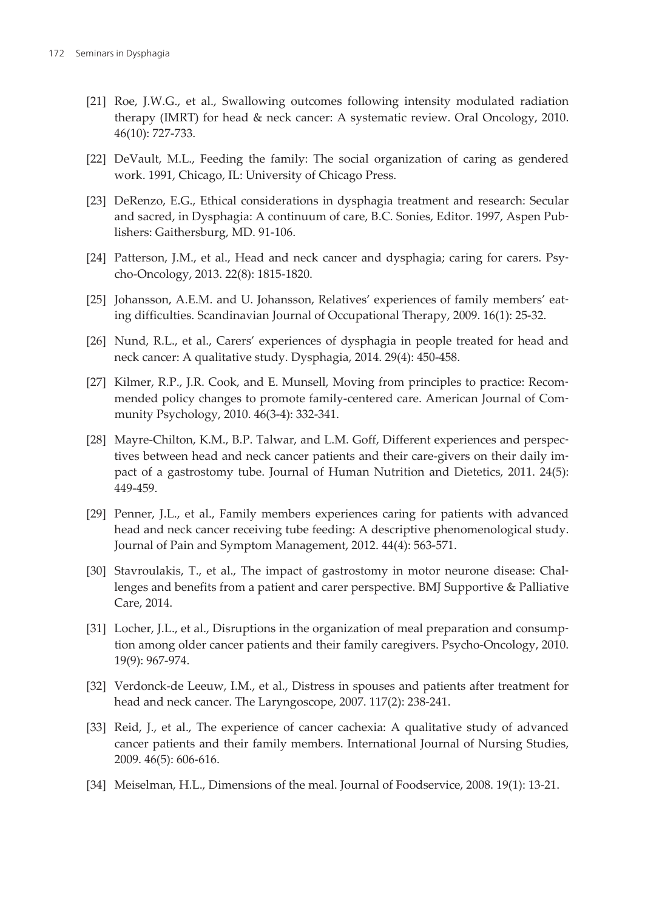- <span id="page-13-0"></span>[21] Roe, J.W.G., et al., Swallowing outcomes following intensity modulated radiation therapy (IMRT) for head & neck cancer: A systematic review. Oral Oncology, 2010. 46(10): 727-733.
- [22] DeVault, M.L., Feeding the family: The social organization of caring as gendered work. 1991, Chicago, IL: University of Chicago Press.
- [23] DeRenzo, E.G., Ethical considerations in dysphagia treatment and research: Secular and sacred, in Dysphagia: A continuum of care, B.C. Sonies, Editor. 1997, Aspen Pub‐ lishers: Gaithersburg, MD. 91-106.
- [24] Patterson, J.M., et al., Head and neck cancer and dysphagia; caring for carers. Psycho-Oncology, 2013. 22(8): 1815-1820.
- [25] Johansson, A.E.M. and U. Johansson, Relatives' experiences of family members' eating difficulties. Scandinavian Journal of Occupational Therapy, 2009. 16(1): 25-32.
- [26] Nund, R.L., et al., Carers' experiences of dysphagia in people treated for head and neck cancer: A qualitative study. Dysphagia, 2014. 29(4): 450-458.
- [27] Kilmer, R.P., J.R. Cook, and E. Munsell, Moving from principles to practice: Recommended policy changes to promote family-centered care. American Journal of Community Psychology, 2010. 46(3-4): 332-341.
- [28] Mayre-Chilton, K.M., B.P. Talwar, and L.M. Goff, Different experiences and perspec‐ tives between head and neck cancer patients and their care-givers on their daily im‐ pact of a gastrostomy tube. Journal of Human Nutrition and Dietetics, 2011. 24(5): 449-459.
- [29] Penner, J.L., et al., Family members experiences caring for patients with advanced head and neck cancer receiving tube feeding: A descriptive phenomenological study. Journal of Pain and Symptom Management, 2012. 44(4): 563-571.
- [30] Stavroulakis, T., et al., The impact of gastrostomy in motor neurone disease: Challenges and benefits from a patient and carer perspective. BMJ Supportive & Palliative Care, 2014.
- [31] Locher, J.L., et al., Disruptions in the organization of meal preparation and consumption among older cancer patients and their family caregivers. Psycho-Oncology, 2010. 19(9): 967-974.
- [32] Verdonck-de Leeuw, I.M., et al., Distress in spouses and patients after treatment for head and neck cancer. The Laryngoscope, 2007. 117(2): 238-241.
- [33] Reid, J., et al., The experience of cancer cachexia: A qualitative study of advanced cancer patients and their family members. International Journal of Nursing Studies, 2009. 46(5): 606-616.
- [34] Meiselman, H.L., Dimensions of the meal. Journal of Foodservice, 2008. 19(1): 13-21.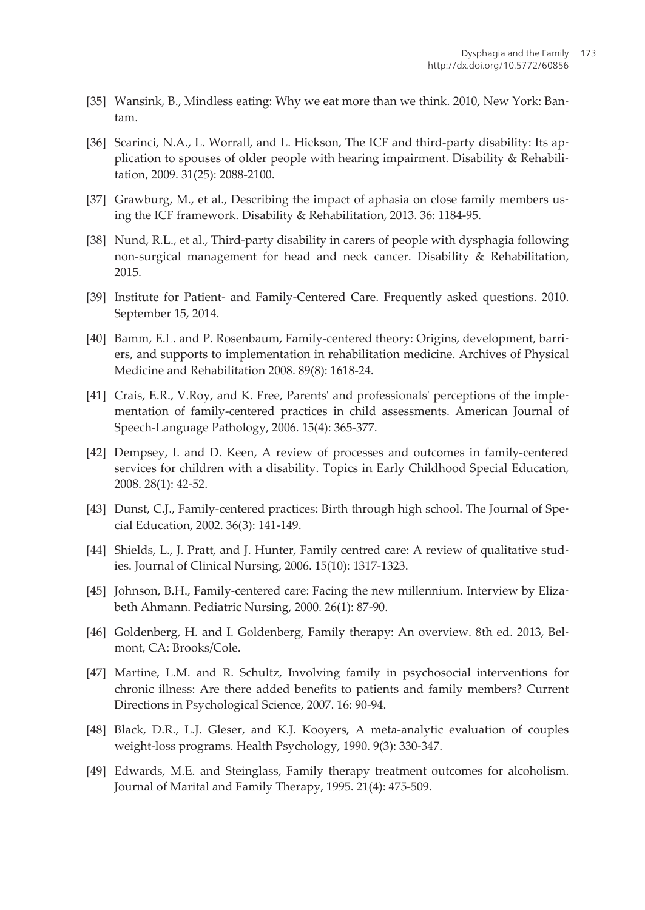- <span id="page-14-0"></span>[35] Wansink, B., Mindless eating: Why we eat more than we think. 2010, New York: Bantam.
- [36] Scarinci, N.A., L. Worrall, and L. Hickson, The ICF and third-party disability: Its application to spouses of older people with hearing impairment. Disability & Rehabilitation, 2009. 31(25): 2088-2100.
- [37] Grawburg, M., et al., Describing the impact of aphasia on close family members using the ICF framework. Disability & Rehabilitation, 2013. 36: 1184-95.
- [38] Nund, R.L., et al., Third-party disability in carers of people with dysphagia following non-surgical management for head and neck cancer. Disability & Rehabilitation, 2015.
- [39] Institute for Patient- and Family-Centered Care. Frequently asked questions. 2010. September 15, 2014.
- [40] Bamm, E.L. and P. Rosenbaum, Family-centered theory: Origins, development, barriers, and supports to implementation in rehabilitation medicine. Archives of Physical Medicine and Rehabilitation 2008. 89(8): 1618-24.
- [41] Crais, E.R., V.Roy, and K. Free, Parents' and professionals' perceptions of the implementation of family-centered practices in child assessments. American Journal of Speech-Language Pathology, 2006. 15(4): 365-377.
- [42] Dempsey, I. and D. Keen, A review of processes and outcomes in family-centered services for children with a disability. Topics in Early Childhood Special Education, 2008. 28(1): 42-52.
- [43] Dunst, C.J., Family-centered practices: Birth through high school. The Journal of Special Education, 2002. 36(3): 141-149.
- [44] Shields, L., J. Pratt, and J. Hunter, Family centred care: A review of qualitative stud‐ ies. Journal of Clinical Nursing, 2006. 15(10): 1317-1323.
- [45] Johnson, B.H., Family-centered care: Facing the new millennium. Interview by Elizabeth Ahmann. Pediatric Nursing, 2000. 26(1): 87-90.
- [46] Goldenberg, H. and I. Goldenberg, Family therapy: An overview. 8th ed. 2013, Belmont, CA: Brooks/Cole.
- [47] Martine, L.M. and R. Schultz, Involving family in psychosocial interventions for chronic illness: Are there added benefits to patients and family members? Current Directions in Psychological Science, 2007. 16: 90-94.
- [48] Black, D.R., L.J. Gleser, and K.J. Kooyers, A meta-analytic evaluation of couples weight-loss programs. Health Psychology, 1990. 9(3): 330-347.
- [49] Edwards, M.E. and Steinglass, Family therapy treatment outcomes for alcoholism. Journal of Marital and Family Therapy, 1995. 21(4): 475-509.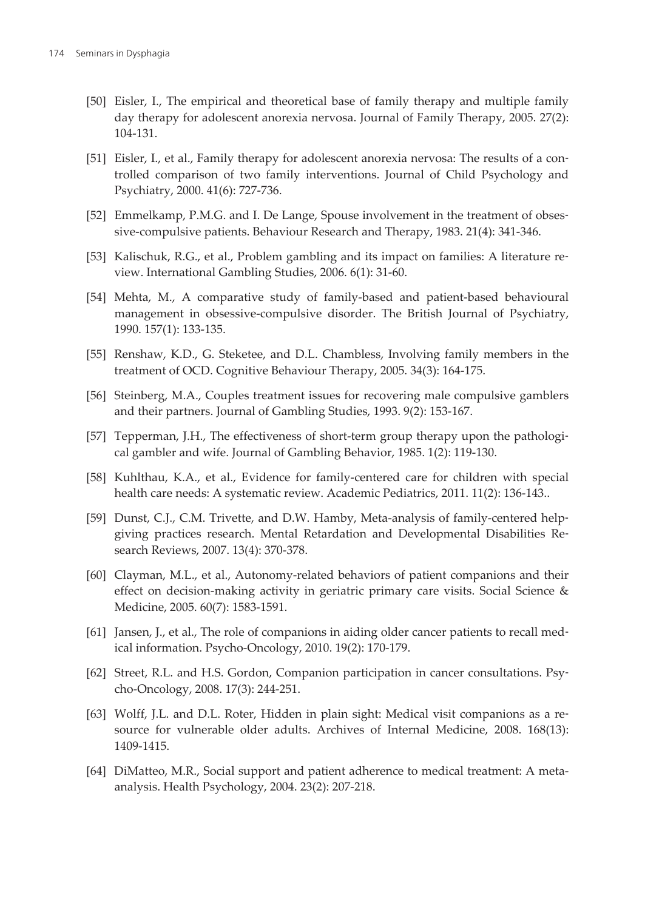- <span id="page-15-0"></span>[50] Eisler, I., The empirical and theoretical base of family therapy and multiple family day therapy for adolescent anorexia nervosa. Journal of Family Therapy, 2005. 27(2): 104-131.
- [51] Eisler, I., et al., Family therapy for adolescent anorexia nervosa: The results of a controlled comparison of two family interventions. Journal of Child Psychology and Psychiatry, 2000. 41(6): 727-736.
- [52] Emmelkamp, P.M.G. and I. De Lange, Spouse involvement in the treatment of obsessive-compulsive patients. Behaviour Research and Therapy, 1983. 21(4): 341-346.
- [53] Kalischuk, R.G., et al., Problem gambling and its impact on families: A literature review. International Gambling Studies, 2006. 6(1): 31-60.
- [54] Mehta, M., A comparative study of family-based and patient-based behavioural management in obsessive-compulsive disorder. The British Journal of Psychiatry, 1990. 157(1): 133-135.
- [55] Renshaw, K.D., G. Steketee, and D.L. Chambless, Involving family members in the treatment of OCD. Cognitive Behaviour Therapy, 2005. 34(3): 164-175.
- [56] Steinberg, M.A., Couples treatment issues for recovering male compulsive gamblers and their partners. Journal of Gambling Studies, 1993. 9(2): 153-167.
- [57] Tepperman, J.H., The effectiveness of short-term group therapy upon the pathological gambler and wife. Journal of Gambling Behavior, 1985. 1(2): 119-130.
- [58] Kuhlthau, K.A., et al., Evidence for family-centered care for children with special health care needs: A systematic review. Academic Pediatrics, 2011. 11(2): 136-143..
- [59] Dunst, C.J., C.M. Trivette, and D.W. Hamby, Meta-analysis of family-centered help‐ giving practices research. Mental Retardation and Developmental Disabilities Re‐ search Reviews, 2007. 13(4): 370-378.
- [60] Clayman, M.L., et al., Autonomy-related behaviors of patient companions and their effect on decision-making activity in geriatric primary care visits. Social Science & Medicine, 2005. 60(7): 1583-1591.
- [61] Jansen, J., et al., The role of companions in aiding older cancer patients to recall medical information. Psycho-Oncology, 2010. 19(2): 170-179.
- [62] Street, R.L. and H.S. Gordon, Companion participation in cancer consultations. Psy‐ cho-Oncology, 2008. 17(3): 244-251.
- [63] Wolff, J.L. and D.L. Roter, Hidden in plain sight: Medical visit companions as a resource for vulnerable older adults. Archives of Internal Medicine, 2008. 168(13): 1409-1415.
- [64] DiMatteo, M.R., Social support and patient adherence to medical treatment: A metaanalysis. Health Psychology, 2004. 23(2): 207-218.